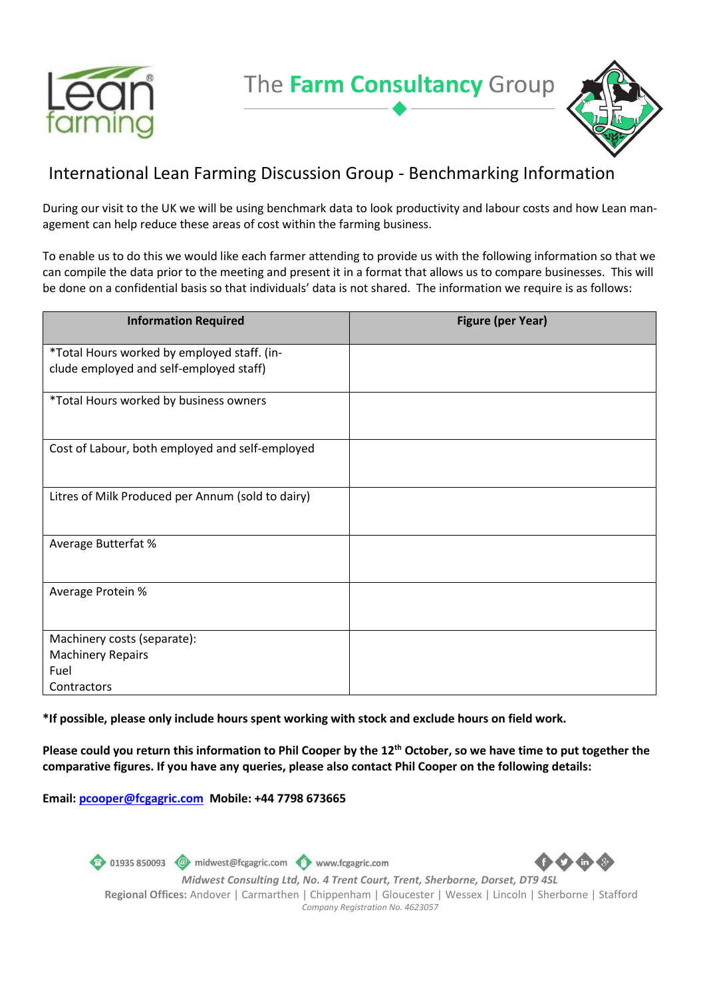



## International Lean Farming Discussion Group - Benchmarking Information

During our visit to the UK we will be using benchmark data to look productivity and labour costs and how Lean management can help reduce these areas of cost within the farming business.

To enable us to do this we would like each farmer attending to provide us with the following information so that we can compile the data prior to the meeting and present it in a format that allows us to compare businesses. This will be done on a confidential basis so that individuals' data is not shared. The information we require is as follows:

| <b>Information Required</b>                                                            | <b>Figure (per Year)</b> |
|----------------------------------------------------------------------------------------|--------------------------|
| *Total Hours worked by employed staff. (in-<br>clude employed and self-employed staff) |                          |
| *Total Hours worked by business owners                                                 |                          |
| Cost of Labour, both employed and self-employed                                        |                          |
| Litres of Milk Produced per Annum (sold to dairy)                                      |                          |
| <b>Average Butterfat %</b>                                                             |                          |
| Average Protein %                                                                      |                          |
| Machinery costs (separate):                                                            |                          |
| <b>Machinery Repairs</b>                                                               |                          |
| Fuel                                                                                   |                          |
| Contractors                                                                            |                          |

**\*If possible, please only include hours spent working with stock and exclude hours on field work.**

**Please could you return this information to Phil Cooper by the 12th October, so we have time to put together the comparative figures. If you have any queries, please also contact Phil Cooper on the following details:**

**Email[: pcooper@fcgagric.com](mailto:pcooper@fcgagric.com) Mobile: +44 7798 673665**

01935 850093 midwest@fcgagric.com www.fcgagric.com *Midwest Consulting Ltd, No. 4 Trent Court, Trent, Sherborne, Dorset, DT9 4SL* **Regional Offices:** Andover | Carmarthen | Chippenham | Gloucester | Wessex | Lincoln | Sherborne | Stafford *Company Registration No. 4623057*